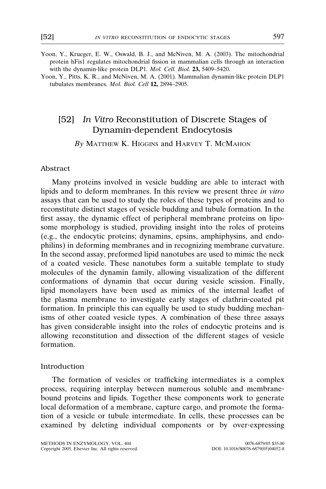Yoon, Y., Krueger, E. W., Oswald, B. J., and McNiven, M. A. (2003). The mitochondrial protein hFis1 regulates mitochondrial fission in mammalian cells through an interaction with the dynamin-like protein DLP1. Mol. Cell. Biol. 23, 5409-5420.

Yoon, Y., Pitts, K. R., and McNiven, M. A. (2001). Mammalian dynamin-like protein DLP1 tubulates membranes. Mol. Biol. Cell 12, 2894-2905.

# [52] In Vitro Reconstitution of Discrete Stages of Dynamin‐dependent Endocytosis

By MATTHEW K. HIGGINS and HARVEY T. MCMAHON

#### Abstract

Many proteins involved in vesicle budding are able to interact with lipids and to deform membranes. In this review we present three in vitro assays that can be used to study the roles of these types of proteins and to reconstitute distinct stages of vesicle budding and tubule formation. In the first assay, the dynamic effect of peripheral membrane proteins on liposome morphology is studied, providing insight into the roles of proteins (e.g., the endocytic proteins; dynamins, epsins, amphiphysins, and endophilins) in deforming membranes and in recognizing membrane curvature. In the second assay, preformed lipid nanotubes are used to mimic the neck of a coated vesicle. These nanotubes form a suitable template to study molecules of the dynamin family, allowing visualization of the different conformations of dynamin that occur during vesicle scission. Finally, lipid monolayers have been used as mimics of the internal leaflet of the plasma membrane to investigate early stages of clathrin‐coated pit formation. In principle this can equally be used to study budding mechanisms of other coated vesicle types. A combination of these three assays has given considerable insight into the roles of endocytic proteins and is allowing reconstitution and dissection of the different stages of vesicle formation.

## Introduction

The formation of vesicles or trafficking intermediates is a complex process, requiring interplay between numerous soluble and membrane‐ bound proteins and lipids. Together these components work to generate local deformation of a membrane, capture cargo, and promote the formation of a vesicle or tubule intermediate. In cells, these processes can be examined by deleting individual components or by over-expressing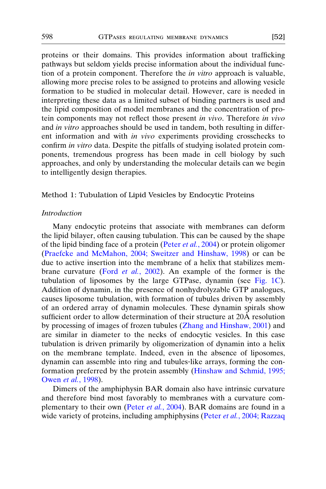proteins or their domains. This provides information about trafficking pathways but seldom yields precise information about the individual function of a protein component. Therefore the in vitro approach is valuable, allowing more precise roles to be assigned to proteins and allowing vesicle formation to be studied in molecular detail. However, care is needed in interpreting these data as a limited subset of binding partners is used and the lipid composition of model membranes and the concentration of protein components may not reflect those present in vivo. Therefore in vivo and *in vitro* approaches should be used in tandem, both resulting in different information and with *in vivo* experiments providing crosschecks to confirm in vitro data. Despite the pitfalls of studying isolated protein components, tremendous progress has been made in cell biology by such approaches, and only by understanding the molecular details can we begin to intelligently design therapies.

Method 1: Tubulation of Lipid Vesicles by Endocytic Proteins

#### Introduction

Many endocytic proteins that associate with membranes can deform the lipid bilayer, often causing tubulation. This can be caused by the shape of the lipid binding face of a protein (Peter et  $al$ [, 2004\)](#page-13-0) or protein oligomer ([Praefcke and McMahon, 2004; Sweitzer and Hinshaw, 1998](#page-13-0)) or can be due to active insertion into the membrane of a helix that stabilizes membrane curvature (Ford *et al.*[, 2002\)](#page-13-0). An example of the former is the tubulation of liposomes by the large GTPase, dynamin (see [Fig. 1C](#page-2-0)). Addition of dynamin, in the presence of nonhydrolyzable GTP analogues, causes liposome tubulation, with formation of tubules driven by assembly of an ordered array of dynamin molecules. These dynamin spirals show sufficient order to allow determination of their structure at 20Å resolution by processing of images of frozen tubules ([Zhang and Hinshaw, 2001](#page-14-0)) and are similar in diameter to the necks of endocytic vesicles. In this case tubulation is driven primarily by oligomerization of dynamin into a helix on the membrane template. Indeed, even in the absence of liposomes, dynamin can assemble into ring and tubules‐like arrays, forming the conformation preferred by the protein assembly [\(Hinshaw and Schmid, 1995;](#page-13-0) [Owen](#page-13-0) et al., 1998).

Dimers of the amphiphysin BAR domain also have intrinsic curvature and therefore bind most favorably to membranes with a curvature com-plementary to their own (Peter et al.[, 2004\)](#page-13-0). BAR domains are found in a wide variety of proteins, including amphiphysins (Peter *et al.*[, 2004; Razzaq](#page-13-0)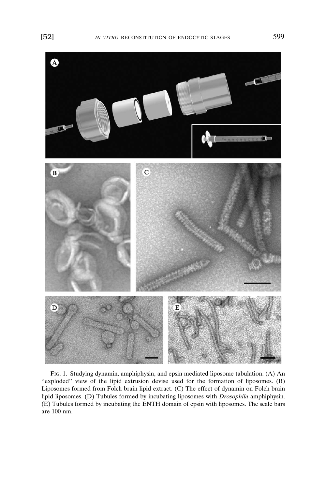<span id="page-2-0"></span>

FIG. 1. Studying dynamin, amphiphysin, and epsin mediated liposome tabulation. (A) An "exploded" view of the lipid extrusion devise used for the formation of liposomes. (B) Liposomes formed from Folch brain lipid extract. (C) The effect of dynamin on Folch brain lipid liposomes. (D) Tubules formed by incubating liposomes with Drosophila amphiphysin. (E) Tubules formed by incubating the ENTH domain of epsin with liposomes. The scale bars are 100 nm.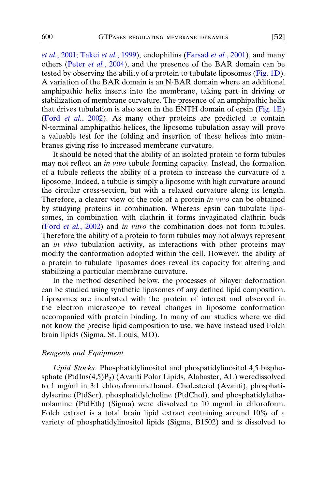et al.[, 2001; Takei](#page-13-0) et al., 1999), endophilins [\(Farsad](#page-13-0) et al., 2001), and many others (Peter et al.[, 2004\)](#page-13-0), and the presence of the BAR domain can be tested by observing the ability of a protein to tubulate liposomes [\(Fig. 1D](#page-2-0)). A variation of the BAR domain is an N‐BAR domain where an additional amphipathic helix inserts into the membrane, taking part in driving or stabilization of membrane curvature. The presence of an amphipathic helix that drives tubulation is also seen in the ENTH domain of epsin  $(Fig. 1E)$ (Ford et al.[, 2002\)](#page-13-0). As many other proteins are predicted to contain N‐terminal amphipathic helices, the liposome tubulation assay will prove a valuable test for the folding and insertion of these helices into membranes giving rise to increased membrane curvature.

It should be noted that the ability of an isolated protein to form tubules may not reflect an *in vivo* tubule forming capacity. Instead, the formation of a tubule reflects the ability of a protein to increase the curvature of a liposome. Indeed, a tubule is simply a liposome with high curvature around the circular cross‐section, but with a relaxed curvature along its length. Therefore, a clearer view of the role of a protein in vivo can be obtained by studying proteins in combination. Whereas epsin can tubulate liposomes, in combination with clathrin it forms invaginated clathrin buds (Ford et al.[, 2002](#page-13-0)) and in vitro the combination does not form tubules. Therefore the ability of a protein to form tubules may not always represent an in vivo tubulation activity, as interactions with other proteins may modify the conformation adopted within the cell. However, the ability of a protein to tubulate liposomes does reveal its capacity for altering and stabilizing a particular membrane curvature.

In the method described below, the processes of bilayer deformation can be studied using synthetic liposomes of any defined lipid composition. Liposomes are incubated with the protein of interest and observed in the electron microscope to reveal changes in liposome conformation accompanied with protein binding. In many of our studies where we did not know the precise lipid composition to use, we have instead used Folch brain lipids (Sigma, St. Louis, MO).

### Reagents and Equipment

Lipid Stocks. Phosphatidylinositol and phospatidylinositol‐4,5‐bisphosphate (PtdIns $(4,5)P_2$ ) (Avanti Polar Lipids, Alabaster, AL) weredissolved to 1 mg/ml in 3:1 chloroform:methanol. Cholesterol (Avanti), phosphatidylserine (PtdSer), phosphatidylcholine (PtdChol), and phosphatidylethanolamine (PtdEth) (Sigma) were dissolved to 10 mg/ml in chloroform. Folch extract is a total brain lipid extract containing around 10% of a variety of phosphatidylinositol lipids (Sigma, B1502) and is dissolved to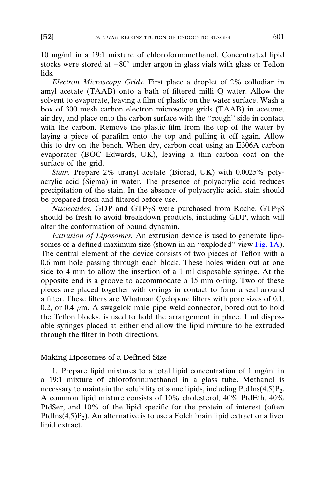10 mg/ml in a 19:1 mixture of chloroform:methanol. Concentrated lipid stocks were stored at  $-80^\circ$  under argon in glass vials with glass or Teflon lids.

Electron Microscopy Grids. First place a droplet of 2% collodian in amyl acetate (TAAB) onto a bath of filtered milli Q water. Allow the solvent to evaporate, leaving a film of plastic on the water surface. Wash a box of 300 mesh carbon electron microscope grids (TAAB) in acetone, air dry, and place onto the carbon surface with the ''rough'' side in contact with the carbon. Remove the plastic film from the top of the water by laying a piece of parafilm onto the top and pulling it off again. Allow this to dry on the bench. When dry, carbon coat using an E306A carbon evaporator (BOC Edwards, UK), leaving a thin carbon coat on the surface of the grid.

Stain. Prepare 2% uranyl acetate (Biorad, UK) with 0.0025% polyacrylic acid (Sigma) in water. The presence of polyacrylic acid reduces precipitation of the stain. In the absence of polyacrylic acid, stain should be prepared fresh and filtered before use.

Nucleotides. GDP and GTP $\gamma$ S were purchased from Roche. GTP $\gamma$ S should be fresh to avoid breakdown products, including GDP, which will alter the conformation of bound dynamin.

Extrusion of Liposomes. An extrusion device is used to generate lipo-somes of a defined maximum size (shown in an "exploded" view [Fig. 1A](#page-2-0)). The central element of the device consists of two pieces of Teflon with a 0.6 mm hole passing through each block. These holes widen out at one side to 4 mm to allow the insertion of a 1 ml disposable syringe. At the opposite end is a groove to accommodate a 15 mm o‐ring. Two of these pieces are placed together with o‐rings in contact to form a seal around a filter. These filters are Whatman Cyclopore filters with pore sizes of 0.1, 0.2, or 0.4  $\mu$ m. A swagelok male pipe weld connector, bored out to hold the Teflon blocks, is used to hold the arrangement in place. 1 ml disposable syringes placed at either end allow the lipid mixture to be extruded through the filter in both directions.

#### Making Liposomes of a Defined Size

1. Prepare lipid mixtures to a total lipid concentration of 1 mg/ml in a 19:1 mixture of chloroform:methanol in a glass tube. Methanol is necessary to maintain the solubility of some lipids, including PtdIns $(4,5)P_2$ . A common lipid mixture consists of 10% cholesterol, 40% PtdEth, 40% PtdSer, and 10% of the lipid specific for the protein of interest (often PtdIns $(4,5)P_2$ ). An alternative is to use a Folch brain lipid extract or a liver lipid extract.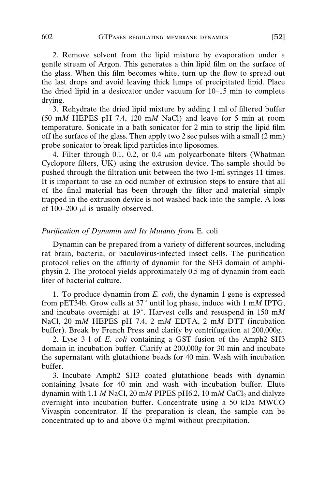2. Remove solvent from the lipid mixture by evaporation under a gentle stream of Argon. This generates a thin lipid film on the surface of the glass. When this film becomes white, turn up the flow to spread out the last drops and avoid leaving thick lumps of precipitated lipid. Place the dried lipid in a desiccator under vacuum for 10–15 min to complete drying.

3. Rehydrate the dried lipid mixture by adding 1 ml of filtered buffer (50 mM HEPES pH 7.4, 120 mM NaCl) and leave for 5 min at room temperature. Sonicate in a bath sonicator for 2 min to strip the lipid film off the surface of the glass. Then apply two 2 sec pulses with a small (2 mm) probe sonicator to break lipid particles into liposomes.

4. Filter through 0.1, 0.2, or 0.4  $\mu$ m polycarbonate filters (Whatman Cyclopore filters, UK) using the extrusion device. The sample should be pushed through the filtration unit between the two 1‐ml syringes 11 times. It is important to use an odd number of extrusion steps to ensure that all of the final material has been through the filter and material simply trapped in the extrusion device is not washed back into the sample. A loss of 100–200  $\mu$ l is usually observed.

# Purification of Dynamin and Its Mutants from E. coli

Dynamin can be prepared from a variety of different sources, including rat brain, bacteria, or baculovirus‐infected insect cells. The purification protocol relies on the affinity of dynamin for the SH3 domain of amphiphysin 2. The protocol yields approximately 0.5 mg of dynamin from each liter of bacterial culture.

1. To produce dynamin from  $E.$  coli, the dynamin 1 gene is expressed from pET34b. Grow cells at 37 $^{\circ}$  until log phase, induce with 1 mM IPTG, and incubate overnight at 19 $^{\circ}$ . Harvest cells and resuspend in 150 mM NaCl, 20 mM HEPES pH 7.4, 2 mM EDTA, 2 mM DTT (incubation buffer). Break by French Press and clarify by centrifugation at 200,000g.

2. Lyse 3 l of E. coli containing a GST fusion of the Amph2 SH3 domain in incubation buffer. Clarify at 200,000g for 30 min and incubate the supernatant with glutathione beads for 40 min. Wash with incubation buffer.

3. Incubate Amph2 SH3 coated glutathione beads with dynamin containing lysate for 40 min and wash with incubation buffer. Elute dynamin with 1.1 M NaCl, 20 mM PIPES pH6.2, 10 mM CaCl<sub>2</sub> and dialyze overnight into incubation buffer. Concentrate using a 50 kDa MWCO Vivaspin concentrator. If the preparation is clean, the sample can be concentrated up to and above 0.5 mg/ml without precipitation.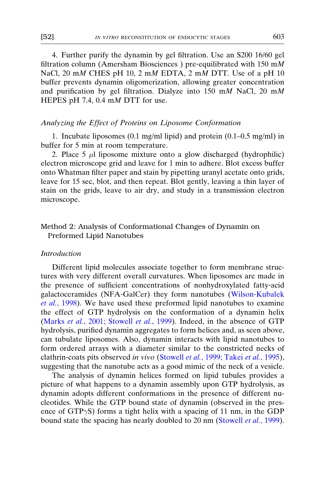4. Further purify the dynamin by gel filtration. Use an S200 16/60 gel filtration column (Amersham Biosciences) pre-equilibrated with  $150 \text{ m}$ NaCl, 20 mM CHES pH 10, 2 mM EDTA, 2 mM DTT. Use of a pH 10 buffer prevents dynamin oligomerization, allowing greater concentration and purification by gel filtration. Dialyze into 150 mM NaCl, 20 mM HEPES pH 7.4, 0.4 mM DTT for use.

# Analyzing the Effect of Proteins on Liposome Conformation

1. Incubate liposomes (0.1 mg/ml lipid) and protein (0.1–0.5 mg/ml) in buffer for 5 min at room temperature.

2. Place 5  $\mu$ l liposome mixture onto a glow discharged (hydrophilic) electron microscope grid and leave for 1 min to adhere. Blot excess buffer onto Whatman filter paper and stain by pipetting uranyl acetate onto grids, leave for 15 sec, blot, and then repeat. Blot gently, leaving a thin layer of stain on the grids, leave to air dry, and study in a transmission electron microscope.

# Method 2: Analysis of Conformational Changes of Dynamin on Preformed Lipid Nanotubes

# Introduction

Different lipid molecules associate together to form membrane structures with very different overall curvatures. When liposomes are made in the presence of sufficient concentrations of nonhydroxylated fatty‐acid galactoceramides (NFA‐GalCer) they form nanotubes (Wilson‐[Kubalek](#page-14-0) et al.[, 1998\)](#page-14-0). We have used these preformed lipid nanotubes to examine the effect of GTP hydrolysis on the conformation of a dynamin helix (Marks et al.[, 2001; Stowell](#page-13-0) et al., 1999). Indeed, in the absence of GTP hydrolysis, purified dynamin aggregates to form helices and, as seen above, can tubulate liposomes. Also, dynamin interacts with lipid nanotubes to form ordered arrays with a diameter similar to the constricted necks of clathrin-coats pits observed in vivo (Stowell et al.[, 1999; Takei](#page-13-0) et al., 1995), suggesting that the nanotube acts as a good mimic of the neck of a vesicle.

The analysis of dynamin helices formed on lipid tubules provides a picture of what happens to a dynamin assembly upon GTP hydrolysis, as dynamin adopts different conformations in the presence of different nucleotides. While the GTP bound state of dynamin (observed in the presence of  $GTP\gamma S$ ) forms a tight helix with a spacing of 11 nm, in the GDP bound state the spacing has nearly doubled to 20 nm ([Stowell](#page-13-0) et al., 1999).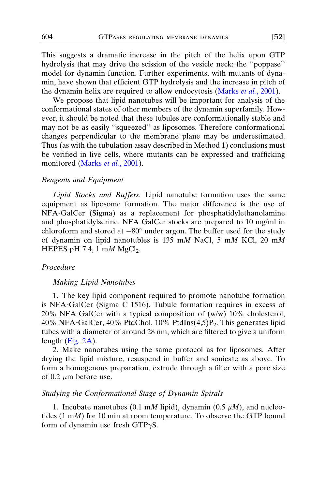This suggests a dramatic increase in the pitch of the helix upon GTP hydrolysis that may drive the scission of the vesicle neck: the ''poppase'' model for dynamin function. Further experiments, with mutants of dynamin, have shown that efficient GTP hydrolysis and the increase in pitch of the dynamin helix are required to allow endocytosis ([Marks](#page-13-0) *et al.*, 2001).

We propose that lipid nanotubes will be important for analysis of the conformational states of other members of the dynamin superfamily. However, it should be noted that these tubules are conformationally stable and may not be as easily ''squeezed'' as liposomes. Therefore conformational changes perpendicular to the membrane plane may be underestimated. Thus (as with the tubulation assay described in Method 1) conclusions must be verified in live cells, where mutants can be expressed and trafficking monitored [\(Marks](#page-13-0) et al., 2001).

#### Reagents and Equipment

Lipid Stocks and Buffers. Lipid nanotube formation uses the same equipment as liposome formation. The major difference is the use of NFA‐GalCer (Sigma) as a replacement for phosphatidylethanolamine and phosphatidylserine. NFA‐GalCer stocks are prepared to 10 mg/ml in chloroform and stored at  $-80^{\circ}$  under argon. The buffer used for the study of dynamin on lipid nanotubles is 135 mM NaCl, 5 mM KCl, 20 mM HEPES pH 7.4, 1 mM  $MgCl<sub>2</sub>$ .

#### Procedure

## Making Lipid Nanotubes

1. The key lipid component required to promote nanotube formation is NFA‐GalCer (Sigma C 1516). Tubule formation requires in excess of 20% NFA‐GalCer with a typical composition of (w/w) 10% cholesterol, 40% NFA-GalCer, 40% PtdChol, 10% PtdIns $(4,5)P_2$ . This generates lipid tubes with a diameter of around 28 nm, which are filtered to give a uniform length [\(Fig. 2A](#page-8-0)).

2. Make nanotubes using the same protocol as for liposomes. After drying the lipid mixture, resuspend in buffer and sonicate as above. To form a homogenous preparation, extrude through a filter with a pore size of 0.2  $\mu$ m before use.

#### Studying the Conformational Stage of Dynamin Spirals

1. Incubate nanotubes (0.1 mM lipid), dynamin (0.5  $\mu$ M), and nucleotides (1 mM) for 10 min at room temperature. To observe the GTP bound form of dynamin use fresh GTP $\gamma$ S.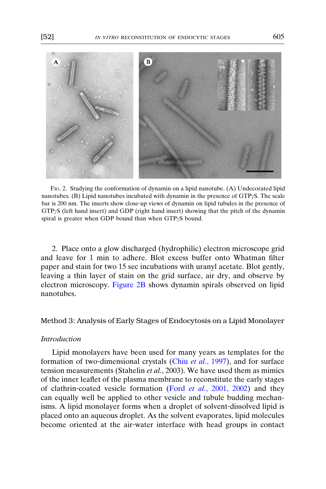<span id="page-8-0"></span>

FIG. 2. Studying the conformation of dynamin on a lipid nanotube. (A) Undecorated lipid nanotubes. (B) Lipid nanotubes incubated with dynamin in the presence of  $GTP\gamma S$ . The scale bar is 200 nm. The inserts show close‐up views of dynamin on lipid tubules in the presence of  $GTP<sub>Y</sub>S$  (left hand insert) and  $GDP$  (right hand insert) showing that the pitch of the dynamin spiral is greater when GDP bound than when  $GTP\gamma S$  bound.

2. Place onto a glow discharged (hydrophilic) electron microscope grid and leave for 1 min to adhere. Blot excess buffer onto Whatman filter paper and stain for two 15 sec incubations with uranyl acetate. Blot gently, leaving a thin layer of stain on the grid surface, air dry, and observe by electron microscopy. Figure 2B shows dynamin spirals observed on lipid nanotubes.

## Method 3: Analysis of Early Stages of Endocytosis on a Lipid Monolayer

## Introduction

Lipid monolayers have been used for many years as templates for the formation of two-dimensional crystals (Chiu et al.[, 1997\)](#page-13-0), and for surface tension measurements (Stahelin et al., 2003). We have used them as mimics of the inner leaflet of the plasma membrane to reconstitute the early stages of clathrin-coated vesicle formation (Ford et al.[, 2001, 2002\)](#page-13-0) and they can equally well be applied to other vesicle and tubule budding mechanisms. A lipid monolayer forms when a droplet of solvent‐dissolved lipid is placed onto an aqueous droplet. As the solvent evaporates, lipid molecules become oriented at the air-water interface with head groups in contact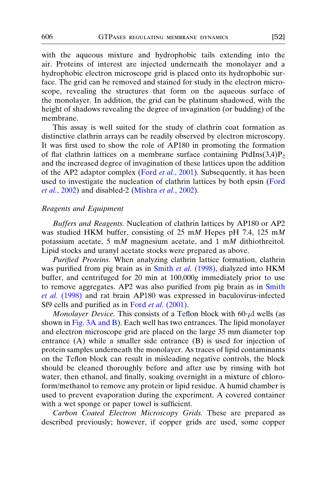with the aqueous mixture and hydrophobic tails extending into the air. Proteins of interest are injected underneath the monolayer and a hydrophobic electron microscope grid is placed onto its hydrophobic surface. The grid can be removed and stained for study in the electron microscope, revealing the structures that form on the aqueous surface of the monolayer. In addition, the grid can be platinum shadowed, with the height of shadows revealing the degree of invagination (or budding) of the membrane.

This assay is well suited for the study of clathrin coat formation as distinctive clathrin arrays can be readily observed by electron microscopy. It was first used to show the role of AP180 in promoting the formation of flat clathrin lattices on a membrane surface containing PtdIns $(3,4)P_2$ and the increased degree of invagination of these lattices upon the addition of the AP2 adaptor complex (Ford et al.[, 2001](#page-13-0)). Subsequently, it has been used to investigate the nucleation of clathrin lattices by both epsin ([Ford](#page-13-0) et al., [2002](#page-13-0)) and disabled-2 ([Mishra](#page-13-0) et al., 2002).

#### Reagents and Equipment

Buffers and Reagents. Nucleation of clathrin lattices by AP180 or AP2 was studied HKM buffer, consisting of 25 mM Hepes pH 7.4, 125 mM potassium acetate, 5 mM magnesium acetate, and 1 mM dithiothreitol. Lipid stocks and uranyl acetate stocks were prepared as above.

Purified Proteins. When analyzing clathrin lattice formation, clathrin was purified from pig brain as in Smith et al. [\(1998\),](#page-13-0) dialyzed into HKM buffer, and centrifuged for 20 min at 100,000g immediately prior to use to remove aggregates. AP2 was also purified from pig brain as in [Smith](#page-13-0) et al. [\(1998\)](#page-13-0) and rat brain AP180 was expressed in baculovirus-infected Sf9 cells and purified as in Ford et al. [\(2001\).](#page-13-0)

Monolayer Device. This consists of a Teflon block with  $60-\mu l$  wells (as shown in [Fig. 3A and B](#page-10-0)). Each well has two entrances. The lipid monolayer and electron microscope grid are placed on the large 35 mm diameter top entrance (A) while a smaller side entrance (B) is used for injection of protein samples underneath the monolayer. As traces of lipid contaminants on the Teflon block can result in misleading negative controls, the block should be cleaned thoroughly before and after use by rinsing with hot water, then ethanol, and finally, soaking overnight in a mixture of chloroform/methanol to remove any protein or lipid residue. A humid chamber is used to prevent evaporation during the experiment. A covered container with a wet sponge or paper towel is sufficient.

Carbon Coated Electron Microscopy Grids. These are prepared as described previously; however, if copper grids are used, some copper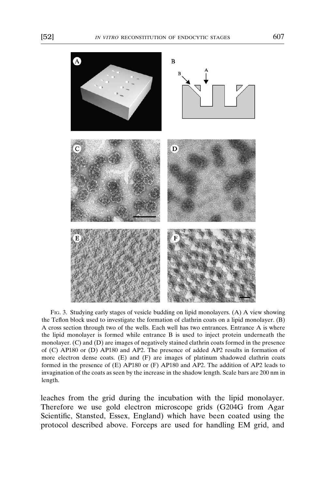<span id="page-10-0"></span>

FIG. 3. Studying early stages of vesicle budding on lipid monolayers. (A) A view showing the Teflon block used to investigate the formation of clathrin coats on a lipid monolayer. (B) A cross section through two of the wells. Each well has two entrances. Entrance A is where the lipid monolayer is formed while entrance B is used to inject protein underneath the monolayer. (C) and (D) are images of negatively stained clathrin coats formed in the presence of (C) AP180 or (D) AP180 and AP2. The presence of added AP2 results in formation of more electron dense coats. (E) and (F) are images of platinum shadowed clathrin coats formed in the presence of (E) AP180 or (F) AP180 and AP2. The addition of AP2 leads to invagination of the coats as seen by the increase in the shadow length. Scale bars are 200 nm in length.

leaches from the grid during the incubation with the lipid monolayer. Therefore we use gold electron microscope grids (G204G from Agar Scientific, Stansted, Essex, England) which have been coated using the protocol described above. Forceps are used for handling EM grid, and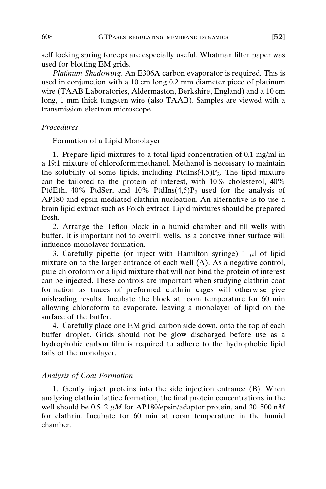self-locking spring forceps are especially useful. Whatman filter paper was used for blotting EM grids.

Platinum Shadowing. An E306A carbon evaporator is required. This is used in conjunction with a 10 cm long 0.2 mm diameter piece of platinum wire (TAAB Laboratories, Aldermaston, Berkshire, England) and a 10 cm long, 1 mm thick tungsten wire (also TAAB). Samples are viewed with a transmission electron microscope.

### Procedures

Formation of a Lipid Monolayer

1. Prepare lipid mixtures to a total lipid concentration of 0.1 mg/ml in a 19:1 mixture of chloroform:methanol. Methanol is necessary to maintain the solubility of some lipids, including  $PtdIns(4,5)P_2$ . The lipid mixture can be tailored to the protein of interest, with 10% cholesterol, 40% PtdEth, 40% PtdSer, and 10% PtdIns(4,5) $P_2$  used for the analysis of AP180 and epsin mediated clathrin nucleation. An alternative is to use a brain lipid extract such as Folch extract. Lipid mixtures should be prepared fresh.

2. Arrange the Teflon block in a humid chamber and fill wells with buffer. It is important not to overfill wells, as a concave inner surface will influence monolayer formation.

3. Carefully pipette (or inject with Hamilton syringe) 1  $\mu$ l of lipid mixture on to the larger entrance of each well (A). As a negative control, pure chloroform or a lipid mixture that will not bind the protein of interest can be injected. These controls are important when studying clathrin coat formation as traces of preformed clathrin cages will otherwise give misleading results. Incubate the block at room temperature for 60 min allowing chloroform to evaporate, leaving a monolayer of lipid on the surface of the buffer.

4. Carefully place one EM grid, carbon side down, onto the top of each buffer droplet. Grids should not be glow discharged before use as a hydrophobic carbon film is required to adhere to the hydrophobic lipid tails of the monolayer.

# Analysis of Coat Formation

1. Gently inject proteins into the side injection entrance (B). When analyzing clathrin lattice formation, the final protein concentrations in the well should be 0.5–2  $\mu$ M for AP180/epsin/adaptor protein, and 30–500 nM for clathrin. Incubate for 60 min at room temperature in the humid chamber.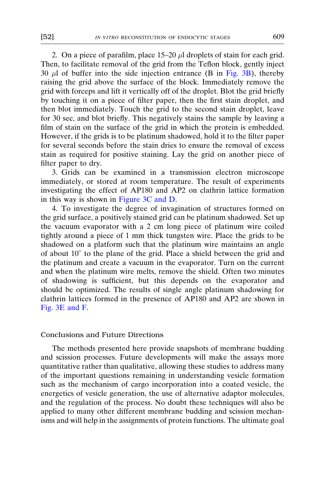2. On a piece of parafilm, place  $15-20 \mu l$  droplets of stain for each grid. Then, to facilitate removal of the grid from the Teflon block, gently inject 30  $\mu$ l of buffer into the side injection entrance (B in [Fig. 3B\)](#page-10-0), thereby raising the grid above the surface of the block. Immediately remove the grid with forceps and lift it vertically off of the droplet. Blot the grid briefly by touching it on a piece of filter paper, then the first stain droplet, and then blot immediately. Touch the grid to the second stain droplet, leave for 30 sec, and blot briefly. This negatively stains the sample by leaving a film of stain on the surface of the grid in which the protein is embedded. However, if the grids is to be platinum shadowed, hold it to the filter paper for several seconds before the stain dries to ensure the removal of excess stain as required for positive staining. Lay the grid on another piece of filter paper to dry.

3. Grids can be examined in a transmission electron microscope immediately, or stored at room temperature. The result of experiments investigating the effect of AP180 and AP2 on clathrin lattice formation in this way is shown in [Figure 3C and D](#page-10-0).

4. To investigate the degree of invagination of structures formed on the grid surface, a positively stained grid can be platinum shadowed. Set up the vacuum evaporator with a 2 cm long piece of platinum wire coiled tightly around a piece of 1 mm thick tungsten wire. Place the grids to be shadowed on a platform such that the platinum wire maintains an angle of about  $10^{\circ}$  to the plane of the grid. Place a shield between the grid and the platinum and create a vacuum in the evaporator. Turn on the current and when the platinum wire melts, remove the shield. Often two minutes of shadowing is sufficient, but this depends on the evaporator and should be optimized. The results of single angle platinum shadowing for clathrin lattices formed in the presence of AP180 and AP2 are shown in [Fig. 3E and F.](#page-10-0)

#### Conclusions and Future Directions

The methods presented here provide snapshots of membrane budding and scission processes. Future developments will make the assays more quantitative rather than qualitative, allowing these studies to address many of the important questions remaining in understanding vesicle formation such as the mechanism of cargo incorporation into a coated vesicle, the energetics of vesicle generation, the use of alternative adaptor molecules, and the regulation of the process. No doubt these techniques will also be applied to many other different membrane budding and scission mechanisms and will help in the assignments of protein functions. The ultimate goal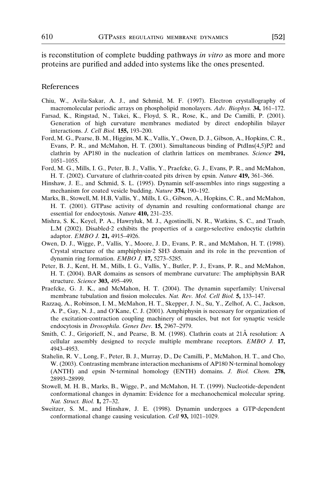<span id="page-13-0"></span>is reconstitution of complete budding pathways in vitro as more and more proteins are purified and added into systems like the ones presented.

#### References

- Chiu, W., Avila‐Sakar, A. J., and Schmid, M. F. (1997). Electron crystallography of macromolecular periodic arrays on phospholipid monolayers. Adv. Biophys. 34, 161–172.
- Farsad, K., Ringstad, N., Takei, K., Floyd, S. R., Rose, K., and De Camilli, P. (2001). Generation of high curvature membranes mediated by direct endophilin bilayer interactions. J. Cell Biol. 155, 193–200.
- Ford, M. G., Pearse, B. M., Higgins, M. K., Vallis, Y., Owen, D. J., Gibson, A., Hopkins, C. R., Evans, P. R., and McMahon, H. T. (2001). Simultaneous binding of PtdIns(4,5)P2 and clathrin by AP180 in the nucleation of clathrin lattices on membranes. Science 291, 1051–1055.
- Ford, M. G., Mills, I. G., Peter, B. J., Vallis, Y., Praefcke, G. J., Evans, P. R., and McMahon, H. T. (2002). Curvature of clathrin-coated pits driven by epsin. Nature 419, 361–366.
- Hinshaw, J. E., and Schmid, S. L. (1995). Dynamin self-assembles into rings suggesting a mechanism for coated vesicle budding. Nature 374, 190–192.
- Marks, B., Stowell, M. H.B, Vallis, Y., Mills, I. G., Gibson, A., Hopkins, C. R., and McMahon, H. T. (2001). GTPase activity of dynamin and resulting conformational change are essential for endocytosis. Nature 410, 231–235.
- Mishra, S. K., Keyel, P. A., Hawryluk, M. J., Agostinelli, N. R., Watkins, S. C., and Traub, L.M (2002). Disabled-2 exhibits the properties of a cargo-selective endocytic clathrin adaptor. EMBO J. 21, 4915–4926.
- Owen, D. J., Wigge, P., Vallis, Y., Moore, J. D., Evans, P. R., and McMahon, H. T. (1998). Crystal structure of the amphiphysin‐2 SH3 domain and its role in the prevention of dynamin ring formation. EMBO J. 17, 5273–5285.
- Peter, B. J., Kent, H. M., Mills, I. G., Vallis, Y., Butler, P. J., Evans, P. R., and McMahon, H. T. (2004). BAR domains as sensors of membrane curvature: The amphiphysin BAR structure. Science 303, 495–499.
- Praefcke, G. J. K., and McMahon, H. T. (2004). The dynamin superfamily: Universal membrane tubulation and fission molecules. Nat. Rev. Mol. Cell Biol. 5, 133-147.
- Razzaq, A., Robinson, I. M., McMahon, H. T., Skepper, J. N., Su, Y., Zelhof, A. C., Jackson, A. P., Gay, N. J., and O'Kane, C. J. (2001). Amphiphysin is necessary for organization of the excitation‐contraction coupling machinery of muscles, but not for synaptic vesicle endocytosis in Drosophila. Genes Dev. 15, 2967–2979.
- Smith, C. J., Grigorieff, N., and Pearse, B. M. (1998). Clathrin coats at 21Å resolution: A cellular assembly designed to recycle multiple membrane receptors. EMBO J. 17, 4943–4953.
- Stahelin, R. V., Long, F., Peter, B. J., Murray, D., De Camilli, P., McMahon, H. T., and Cho, W. (2003). Contrasting membrane interaction mechanisms of AP180 N-terminal homology (ANTH) and epsin N-terminal homology (ENTH) domains. J. Biol. Chem. 278, 28993–28999.
- Stowell, M. H. B., Marks, B., Wigge, P., and McMahon, H. T. (1999). Nucleotide‐dependent conformational changes in dynamin: Evidence for a mechanochemical molecular spring. Nat. Struct. Biol. 1, 27–32.
- Sweitzer, S. M., and Hinshaw, J. E. (1998). Dynamin undergoes a GTP‐dependent conformational change causing vesiculation. Cell 93, 1021–1029.